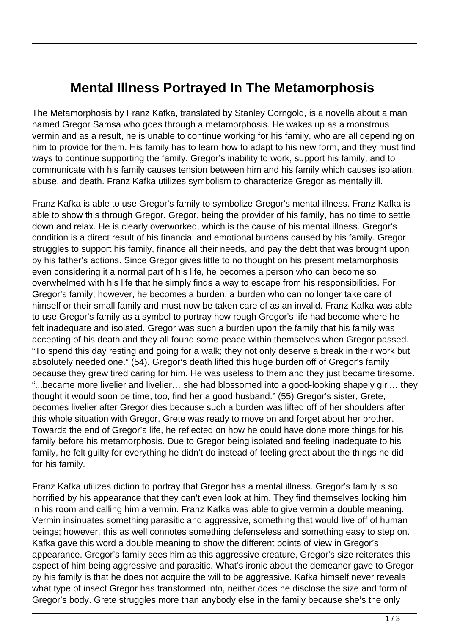## **Mental Illness Portrayed In The Metamorphosis**

The Metamorphosis by Franz Kafka, translated by Stanley Corngold, is a novella about a man named Gregor Samsa who goes through a metamorphosis. He wakes up as a monstrous vermin and as a result, he is unable to continue working for his family, who are all depending on him to provide for them. His family has to learn how to adapt to his new form, and they must find ways to continue supporting the family. Gregor's inability to work, support his family, and to communicate with his family causes tension between him and his family which causes isolation, abuse, and death. Franz Kafka utilizes symbolism to characterize Gregor as mentally ill.

Franz Kafka is able to use Gregor's family to symbolize Gregor's mental illness. Franz Kafka is able to show this through Gregor. Gregor, being the provider of his family, has no time to settle down and relax. He is clearly overworked, which is the cause of his mental illness. Gregor's condition is a direct result of his financial and emotional burdens caused by his family. Gregor struggles to support his family, finance all their needs, and pay the debt that was brought upon by his father's actions. Since Gregor gives little to no thought on his present metamorphosis even considering it a normal part of his life, he becomes a person who can become so overwhelmed with his life that he simply finds a way to escape from his responsibilities. For Gregor's family; however, he becomes a burden, a burden who can no longer take care of himself or their small family and must now be taken care of as an invalid. Franz Kafka was able to use Gregor's family as a symbol to portray how rough Gregor's life had become where he felt inadequate and isolated. Gregor was such a burden upon the family that his family was accepting of his death and they all found some peace within themselves when Gregor passed. "To spend this day resting and going for a walk; they not only deserve a break in their work but absolutely needed one." (54). Gregor's death lifted this huge burden off of Gregor's family because they grew tired caring for him. He was useless to them and they just became tiresome. "...became more livelier and livelier… she had blossomed into a good-looking shapely girl… they thought it would soon be time, too, find her a good husband." (55) Gregor's sister, Grete, becomes livelier after Gregor dies because such a burden was lifted off of her shoulders after this whole situation with Gregor, Grete was ready to move on and forget about her brother. Towards the end of Gregor's life, he reflected on how he could have done more things for his family before his metamorphosis. Due to Gregor being isolated and feeling inadequate to his family, he felt guilty for everything he didn't do instead of feeling great about the things he did for his family.

Franz Kafka utilizes diction to portray that Gregor has a mental illness. Gregor's family is so horrified by his appearance that they can't even look at him. They find themselves locking him in his room and calling him a vermin. Franz Kafka was able to give vermin a double meaning. Vermin insinuates something parasitic and aggressive, something that would live off of human beings; however, this as well connotes something defenseless and something easy to step on. Kafka gave this word a double meaning to show the different points of view in Gregor's appearance. Gregor's family sees him as this aggressive creature, Gregor's size reiterates this aspect of him being aggressive and parasitic. What's ironic about the demeanor gave to Gregor by his family is that he does not acquire the will to be aggressive. Kafka himself never reveals what type of insect Gregor has transformed into, neither does he disclose the size and form of Gregor's body. Grete struggles more than anybody else in the family because she's the only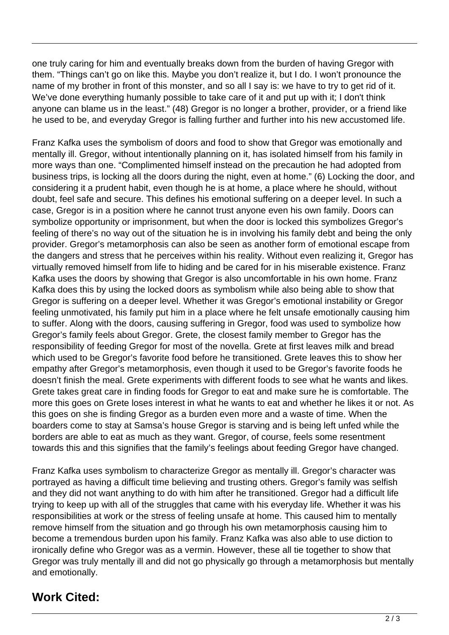one truly caring for him and eventually breaks down from the burden of having Gregor with them. "Things can't go on like this. Maybe you don't realize it, but I do. I won't pronounce the name of my brother in front of this monster, and so all I say is: we have to try to get rid of it. We've done everything humanly possible to take care of it and put up with it; I don't think anyone can blame us in the least." (48) Gregor is no longer a brother, provider, or a friend like he used to be, and everyday Gregor is falling further and further into his new accustomed life.

Franz Kafka uses the symbolism of doors and food to show that Gregor was emotionally and mentally ill. Gregor, without intentionally planning on it, has isolated himself from his family in more ways than one. "Complimented himself instead on the precaution he had adopted from business trips, is locking all the doors during the night, even at home." (6) Locking the door, and considering it a prudent habit, even though he is at home, a place where he should, without doubt, feel safe and secure. This defines his emotional suffering on a deeper level. In such a case, Gregor is in a position where he cannot trust anyone even his own family. Doors can symbolize opportunity or imprisonment, but when the door is locked this symbolizes Gregor's feeling of there's no way out of the situation he is in involving his family debt and being the only provider. Gregor's metamorphosis can also be seen as another form of emotional escape from the dangers and stress that he perceives within his reality. Without even realizing it, Gregor has virtually removed himself from life to hiding and be cared for in his miserable existence. Franz Kafka uses the doors by showing that Gregor is also uncomfortable in his own home. Franz Kafka does this by using the locked doors as symbolism while also being able to show that Gregor is suffering on a deeper level. Whether it was Gregor's emotional instability or Gregor feeling unmotivated, his family put him in a place where he felt unsafe emotionally causing him to suffer. Along with the doors, causing suffering in Gregor, food was used to symbolize how Gregor's family feels about Gregor. Grete, the closest family member to Gregor has the responsibility of feeding Gregor for most of the novella. Grete at first leaves milk and bread which used to be Gregor's favorite food before he transitioned. Grete leaves this to show her empathy after Gregor's metamorphosis, even though it used to be Gregor's favorite foods he doesn't finish the meal. Grete experiments with different foods to see what he wants and likes. Grete takes great care in finding foods for Gregor to eat and make sure he is comfortable. The more this goes on Grete loses interest in what he wants to eat and whether he likes it or not. As this goes on she is finding Gregor as a burden even more and a waste of time. When the boarders come to stay at Samsa's house Gregor is starving and is being left unfed while the borders are able to eat as much as they want. Gregor, of course, feels some resentment towards this and this signifies that the family's feelings about feeding Gregor have changed.

Franz Kafka uses symbolism to characterize Gregor as mentally ill. Gregor's character was portrayed as having a difficult time believing and trusting others. Gregor's family was selfish and they did not want anything to do with him after he transitioned. Gregor had a difficult life trying to keep up with all of the struggles that came with his everyday life. Whether it was his responsibilities at work or the stress of feeling unsafe at home. This caused him to mentally remove himself from the situation and go through his own metamorphosis causing him to become a tremendous burden upon his family. Franz Kafka was also able to use diction to ironically define who Gregor was as a vermin. However, these all tie together to show that Gregor was truly mentally ill and did not go physically go through a metamorphosis but mentally and emotionally.

## **Work Cited:**